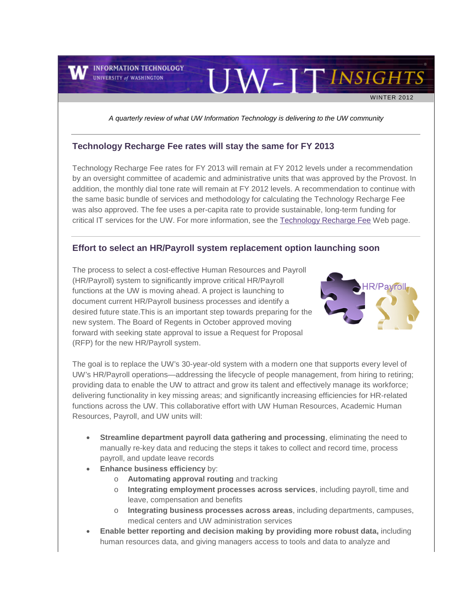**INFORMATION TECHNOLOGY UNIVERSITY of WASHINGTON** 

WINTER 2012

UW-ITINSIGHTS

*A quarterly review of what UW Information Technology is delivering to the UW community*

#### **Technology Recharge Fee rates will stay the same for FY 2013**

Technology Recharge Fee rates for FY 2013 will remain at FY 2012 levels under a recommendation by an oversight committee of academic and administrative units that was approved by the Provost. In addition, the monthly dial tone rate will remain at FY 2012 levels. A recommendation to continue with the same basic bundle of services and methodology for calculating the Technology Recharge Fee was also approved. The fee uses a per-capita rate to provide sustainable, long-term funding for critical IT services for the UW. For more information, see the [Technology Recharge Fee](http://engage.washington.edu/site/R?i=XtCT18W2pAAk16m82KtifQ) Web page.

#### **Effort to select an HR/Payroll system replacement option launching soon**

The process to select a cost-effective Human Resources and Payroll (HR/Payroll) system to significantly improve critical HR/Payroll functions at the UW is moving ahead. A project is launching to document current HR/Payroll business processes and identify a desired future state.This is an important step towards preparing for the new system. The Board of Regents in October approved moving forward with seeking state approval to issue a Request for Proposal (RFP) for the new HR/Payroll system.



The goal is to replace the UW's 30-year-old system with a modern one that supports every level of UW's HR/Payroll operations—addressing the lifecycle of people management, from hiring to retiring; providing data to enable the UW to attract and grow its talent and effectively manage its workforce; delivering functionality in key missing areas; and significantly increasing efficiencies for HR-related functions across the UW. This collaborative effort with UW Human Resources, Academic Human Resources, Payroll, and UW units will:

- **Streamline department payroll data gathering and processing**, eliminating the need to manually re-key data and reducing the steps it takes to collect and record time, process payroll, and update leave records
- **Enhance business efficiency** by:
	- o **Automating approval routing** and tracking
	- o **Integrating employment processes across services**, including payroll, time and leave, compensation and benefits
	- o **Integrating business processes across areas**, including departments, campuses, medical centers and UW administration services
- **Enable better reporting and decision making by providing more robust data,** including human resources data, and giving managers access to tools and data to analyze and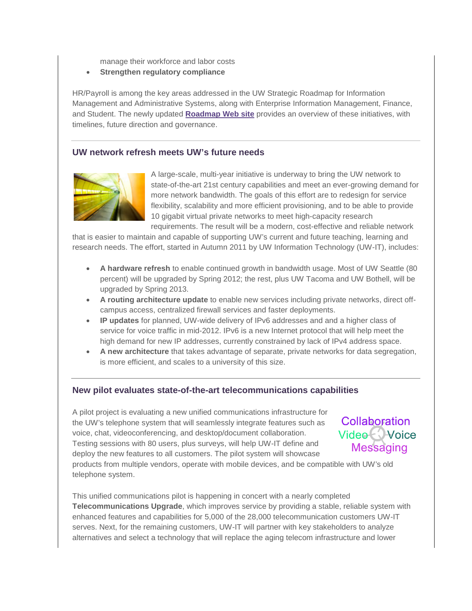manage their workforce and labor costs

• **Strengthen regulatory compliance** 

HR/Payroll is among the key areas addressed in the UW Strategic Roadmap for Information Management and Administrative Systems, along with Enterprise Information Management, Finance, and Student. The newly updated **[Roadmap](http://engage.washington.edu/site/R?i=jnVctwMRUVyhk173u5St4A) Web site** provides an overview of these initiatives, with timelines, future direction and governance.

### **UW network refresh meets UW's future needs**



A large-scale, multi-year initiative is underway to bring the UW network to state-of-the-art 21st century capabilities and meet an ever-growing demand for more network bandwidth. The goals of this effort are to redesign for service flexibility, scalability and more efficient provisioning, and to be able to provide 10 gigabit virtual private networks to meet high-capacity research requirements. The result will be a modern, cost-effective and reliable network

that is easier to maintain and capable of supporting UW's current and future teaching, learning and research needs. The effort, started in Autumn 2011 by UW Information Technology (UW-IT), includes:

- **A hardware refresh** to enable continued growth in bandwidth usage. Most of UW Seattle (80 percent) will be upgraded by Spring 2012; the rest, plus UW Tacoma and UW Bothell, will be upgraded by Spring 2013.
- **A routing architecture update** to enable new services including private networks, direct offcampus access, centralized firewall services and faster deployments.
- **IP updates** for planned, UW-wide delivery of IPv6 addresses and and a higher class of service for voice traffic in mid-2012. IPv6 is a new Internet protocol that will help meet the high demand for new IP addresses, currently constrained by lack of IPv4 address space.
- **A new architecture** that takes advantage of separate, private networks for data segregation, is more efficient, and scales to a university of this size.

#### **New pilot evaluates state-of-the-art telecommunications capabilities**

A pilot project is evaluating a new unified communications infrastructure for the UW's telephone system that will seamlessly integrate features such as voice, chat, videoconferencing, and desktop/document collaboration. Testing sessions with 80 users, plus surveys, will help UW-IT define and deploy the new features to all customers. The pilot system will showcase



products from multiple vendors, operate with mobile devices, and be compatible with UW's old telephone system.

This unified communications pilot is happening in concert with a nearly completed **Telecommunications Upgrade**, which improves service by providing a stable, reliable system with enhanced features and capabilities for 5,000 of the 28,000 telecommunication customers UW-IT serves. Next, for the remaining customers, UW-IT will partner with key stakeholders to analyze alternatives and select a technology that will replace the aging telecom infrastructure and lower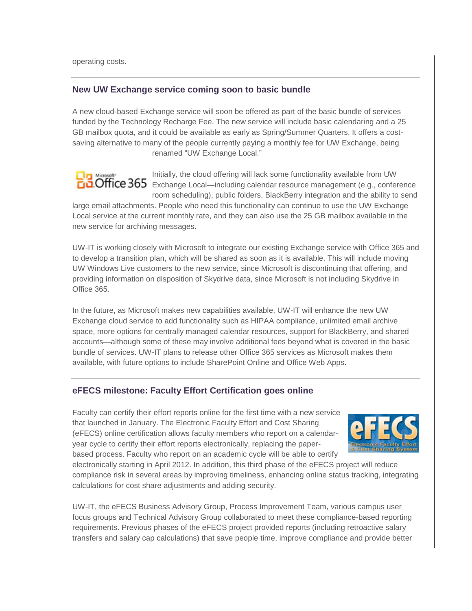operating costs.

### **New UW Exchange service coming soon to basic bundle**

A new cloud-based Exchange service will soon be offered as part of the basic bundle of services funded by the Technology Recharge Fee. The new service will include basic calendaring and a 25 GB mailbox quota, and it could be available as early as Spring/Summer Quarters. It offers a costsaving alternative to many of the people currently paying a monthly fee for UW Exchange, being renamed "UW Exchange Local."



Initially, the cloud offering will lack some functionality available from UW Exchange Local—including calendar resource management (e.g., conference room scheduling), public folders, BlackBerry integration and the ability to send

large email attachments. People who need this functionality can continue to use the UW Exchange Local service at the current monthly rate, and they can also use the 25 GB mailbox available in the new service for archiving messages.

UW-IT is working closely with Microsoft to integrate our existing Exchange service with Office 365 and to develop a transition plan, which will be shared as soon as it is available. This will include moving UW Windows Live customers to the new service, since Microsoft is discontinuing that offering, and providing information on disposition of Skydrive data, since Microsoft is not including Skydrive in Office 365.

In the future, as Microsoft makes new capabilities available, UW-IT will enhance the new UW Exchange cloud service to add functionality such as HIPAA compliance, unlimited email archive space, more options for centrally managed calendar resources, support for BlackBerry, and shared accounts—although some of these may involve additional fees beyond what is covered in the basic bundle of services. UW-IT plans to release other Office 365 services as Microsoft makes them available, with future options to include SharePoint Online and Office Web Apps.

# **eFECS milestone: Faculty Effort Certification goes online**

Faculty can certify their effort reports online for the first time with a new service that launched in January. The Electronic Faculty Effort and Cost Sharing (eFECS) online certification allows faculty members who report on a calendaryear cycle to certify their effort reports electronically, replacing the paperbased process. Faculty who report on an academic cycle will be able to certify



electronically starting in April 2012. In addition, this third phase of the eFECS project will reduce compliance risk in several areas by improving timeliness, enhancing online status tracking, integrating calculations for cost share adjustments and adding security.

UW-IT, the eFECS Business Advisory Group, Process Improvement Team, various campus user focus groups and Technical Advisory Group collaborated to meet these compliance-based reporting requirements. Previous phases of the eFECS project provided reports (including retroactive salary transfers and salary cap calculations) that save people time, improve compliance and provide better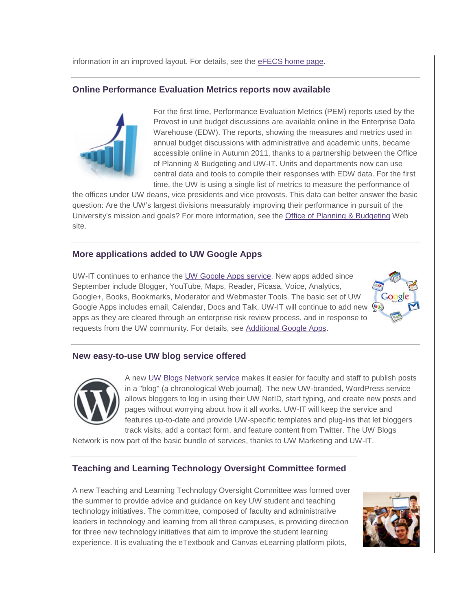information in an improved layout. For details, see the [eFECS home page.](http://engage.washington.edu/site/R?i=mnlQYkr-fGyIZ_39UCZ7iw)

# **Online Performance Evaluation Metrics reports now available**



For the first time, Performance Evaluation Metrics (PEM) reports used by the Provost in unit budget discussions are available online in the Enterprise Data Warehouse (EDW). The reports, showing the measures and metrics used in annual budget discussions with administrative and academic units, became accessible online in Autumn 2011, thanks to a partnership between the Office of Planning & Budgeting and UW-IT. Units and departments now can use central data and tools to compile their responses with EDW data. For the first time, the UW is using a single list of metrics to measure the performance of

the offices under UW deans, vice presidents and vice provosts. This data can better answer the basic question: Are the UW's largest divisions measurably improving their performance in pursuit of the University's mission and goals? For more information, see the [Office of Planning & Budgeting](http://engage.washington.edu/site/R?i=bAPSS2IFAzMQ4PjKmm-ptg) Web site.

# **More applications added to UW Google Apps**

UW-IT continues to enhance the [UW Google Apps service.](http://engage.washington.edu/site/R?i=ae60GUHjegm_8UnvLTKegQ) New apps added since September include Blogger, YouTube, Maps, Reader, Picasa, Voice, Analytics, Google+, Books, Bookmarks, Moderator and Webmaster Tools. The basic set of UW Google Apps includes email, Calendar, Docs and Talk. UW-IT will continue to add new  $\frac{\sqrt{a}}{2}$ apps as they are cleared through an enterprise risk review process, and in response to requests from the UW community. For details, see [Additional Google Apps.](http://engage.washington.edu/site/R?i=9SnXpflDiz7FBXuaV6BCLw)



# **New easy-to-use UW blog service offered**



A new [UW Blogs Network service](http://engage.washington.edu/site/R?i=XY7NUpyD0Z8Fu2tqsI7CNQ) makes it easier for faculty and staff to publish posts in a "blog" (a chronological Web journal). The new UW-branded, WordPress service allows bloggers to log in using their UW NetID, start typing, and create new posts and pages without worrying about how it all works. UW-IT will keep the service and features up-to-date and provide UW-specific templates and plug-ins that let bloggers track visits, add a contact form, and feature content from Twitter. The UW Blogs

Network is now part of the basic bundle of services, thanks to UW Marketing and UW-IT.

# **Teaching and Learning Technology Oversight Committee formed**

A new Teaching and Learning Technology Oversight Committee was formed over the summer to provide advice and guidance on key UW student and teaching technology initiatives. The committee, composed of faculty and administrative leaders in technology and learning from all three campuses, is providing direction for three new technology initiatives that aim to improve the student learning experience. It is evaluating the eTextbook and Canvas eLearning platform pilots,